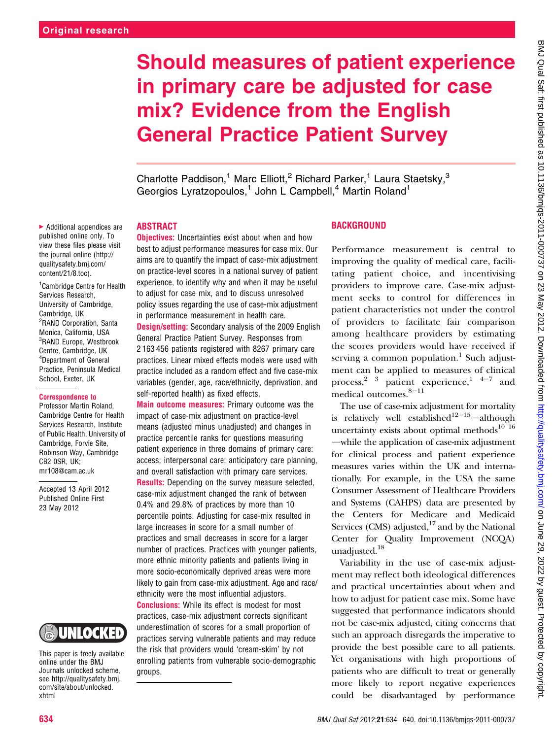$\blacktriangleright$  Additional appendices are published online only. To view these files please visit the journal online (http:// qualitysafety.bmj.com/ content/21/8.toc).

<sup>1</sup> Cambridge Centre for Health Services Research, University of Cambridge, Cambridge, UK

<sup>2</sup>RAND Corporation, Santa Monica, California, USA <sup>3</sup>RAND Europe, Westbrook Centre, Cambridge, UK 4 Department of General Practice, Peninsula Medical School, Exeter, UK Correspondence to Professor Martin Roland, Cambridge Centre for Health Services Research, Institute of Public Health, University of Cambridge, Forvie Site, Robinson Way, Cambridge

CB2 0SR, UK; mr108@cam.ac.uk

Accepted 13 April 2012 Published Online First 23 May 2012

This paper is freely available online under the BMJ Journals unlocked scheme, see http://qualitysafety.bmj. com/site/about/unlocked.

**JUNLOCKED** 

# Should measures of patient experience in primary care be adjusted for case mix? Evidence from the English General Practice Patient Survey

Charlotte Paddison,<sup>1</sup> Marc Elliott,<sup>2</sup> Richard Parker,<sup>1</sup> Laura Staetsky,<sup>3</sup> Georgios Lyratzopoulos,<sup>1</sup> John L Campbell,<sup>4</sup> Martin Roland<sup>1</sup>

#### ABSTRACT

**Objectives:** Uncertainties exist about when and how best to adjust performance measures for case mix. Our aims are to quantify the impact of case-mix adjustment on practice-level scores in a national survey of patient experience, to identify why and when it may be useful to adjust for case mix, and to discuss unresolved policy issues regarding the use of case-mix adjustment in performance measurement in health care. Design/setting: Secondary analysis of the 2009 English General Practice Patient Survey. Responses from 2 163 456 patients registered with 8267 primary care practices. Linear mixed effects models were used with

practice included as a random effect and five case-mix variables (gender, age, race/ethnicity, deprivation, and self-reported health) as fixed effects.

Main outcome measures: Primary outcome was the impact of case-mix adjustment on practice-level means (adjusted minus unadjusted) and changes in practice percentile ranks for questions measuring patient experience in three domains of primary care: access; interpersonal care; anticipatory care planning, and overall satisfaction with primary care services. **Results:** Depending on the survey measure selected, case-mix adjustment changed the rank of between 0.4% and 29.8% of practices by more than 10 percentile points. Adjusting for case-mix resulted in large increases in score for a small number of practices and small decreases in score for a larger number of practices. Practices with younger patients, more ethnic minority patients and patients living in more socio-economically deprived areas were more likely to gain from case-mix adjustment. Age and race/ ethnicity were the most influential adjustors. Conclusions: While its effect is modest for most

practices, case-mix adjustment corrects significant underestimation of scores for a small proportion of practices serving vulnerable patients and may reduce the risk that providers would 'cream-skim' by not enrolling patients from vulnerable socio-demographic groups.

#### **BACKGROUND**

Performance measurement is central to improving the quality of medical care, facilitating patient choice, and incentivising providers to improve care. Case-mix adjustment seeks to control for differences in patient characteristics not under the control of providers to facilitate fair comparison among healthcare providers by estimating the scores providers would have received if serving a common population.<sup>1</sup> Such adjustment can be applied to measures of clinical process,  $2^{3}$  patient experience,  $1^{4-7}$  and medical outcomes. $8-11$ 

The use of case-mix adjustment for mortality is relatively well established<sup>12-15</sup>-although uncertainty exists about optimal methods $^{10}$   $^{16}$ —while the application of case-mix adjustment for clinical process and patient experience measures varies within the UK and internationally. For example, in the USA the same Consumer Assessment of Healthcare Providers and Systems (CAHPS) data are presented by the Centers for Medicare and Medicaid Services (CMS) adjusted, $17$  and by the National Center for Quality Improvement (NCQA) unadjusted.18

Variability in the use of case-mix adjustment may reflect both ideological differences and practical uncertainties about when and how to adjust for patient case mix. Some have suggested that performance indicators should not be case-mix adjusted, citing concerns that such an approach disregards the imperative to provide the best possible care to all patients. Yet organisations with high proportions of patients who are difficult to treat or generally more likely to report negative experiences could be disadvantaged by performance

xhtml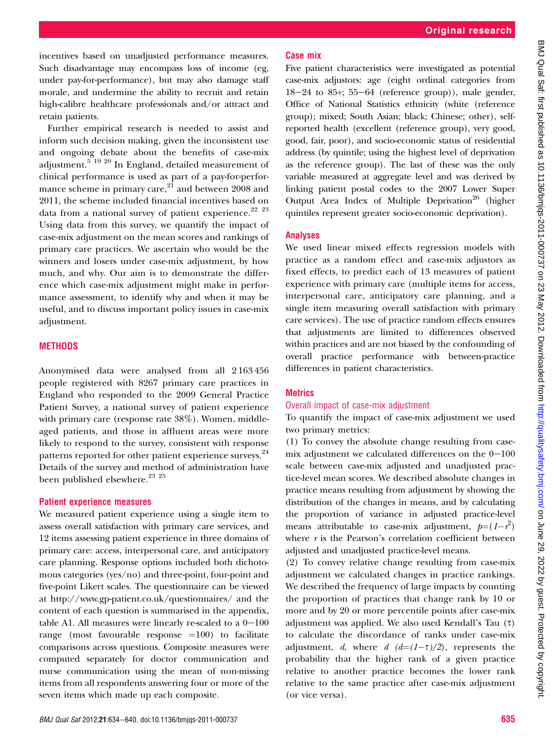incentives based on unadjusted performance measures. Such disadvantage may encompass loss of income (eg, under pay-for-performance), but may also damage staff morale, and undermine the ability to recruit and retain high-calibre healthcare professionals and/or attract and retain patients.

Further empirical research is needed to assist and inform such decision making, given the inconsistent use and ongoing debate about the benefits of case-mix adjustment.5 19 20 In England, detailed measurement of clinical performance is used as part of a pay-for-performance scheme in primary care, $2\overline{1}$  and between 2008 and 2011, the scheme included financial incentives based on data from a national survey of patient experience.<sup>22</sup> <sup>23</sup> Using data from this survey, we quantify the impact of case-mix adjustment on the mean scores and rankings of primary care practices. We ascertain who would be the winners and losers under case-mix adjustment, by how much, and why. Our aim is to demonstrate the difference which case-mix adjustment might make in performance assessment, to identify why and when it may be useful, and to discuss important policy issues in case-mix adjustment.

# **METHODS**

Anonymised data were analysed from all 2 163 456 people registered with 8267 primary care practices in England who responded to the 2009 General Practice Patient Survey, a national survey of patient experience with primary care (response rate 38%). Women, middleaged patients, and those in affluent areas were more likely to respond to the survey, consistent with response patterns reported for other patient experience surveys.<sup>24</sup> Details of the survey and method of administration have been published elsewhere.<sup>23 25</sup>

### Patient experience measures

We measured patient experience using a single item to assess overall satisfaction with primary care services, and 12 items assessing patient experience in three domains of primary care: access, interpersonal care, and anticipatory care planning. Response options included both dichotomous categories (yes/no) and three-point, four-point and five-point Likert scales. The questionnaire can be viewed at http://www.gp-patient.co.uk/questionnaires/ and the content of each question is summarised in the appendix, table A1. All measures were linearly re-scaled to a  $0-100$ range (most favourable response  $=100$ ) to facilitate comparisons across questions. Composite measures were computed separately for doctor communication and nurse communication using the mean of non-missing items from all respondents answering four or more of the seven items which made up each composite.

# Case mix

Five patient characteristics were investigated as potential case-mix adjustors: age (eight ordinal categories from  $18-24$  to  $85+$ ;  $55-64$  (reference group)), male gender, Office of National Statistics ethnicity (white (reference group); mixed; South Asian; black; Chinese; other), selfreported health (excellent (reference group), very good, good, fair, poor), and socio-economic status of residential address (by quintile; using the highest level of deprivation as the reference group). The last of these was the only variable measured at aggregate level and was derived by linking patient postal codes to the 2007 Lower Super Output Area Index of Multiple Deprivation<sup>26</sup> (higher quintiles represent greater socio-economic deprivation).

# Analyses

We used linear mixed effects regression models with practice as a random effect and case-mix adjustors as fixed effects, to predict each of 13 measures of patient experience with primary care (multiple items for access, interpersonal care, anticipatory care planning, and a single item measuring overall satisfaction with primary care services). The use of practice random effects ensures that adjustments are limited to differences observed within practices and are not biased by the confounding of overall practice performance with between-practice differences in patient characteristics.

# **Metrics**

### Overall impact of case-mix adjustment

To quantify the impact of case-mix adjustment we used two primary metrics:

(1) To convey the absolute change resulting from casemix adjustment we calculated differences on the  $0-100$ scale between case-mix adjusted and unadjusted practice-level mean scores. We described absolute changes in practice means resulting from adjustment by showing the distribution of the changes in means, and by calculating the proportion of variance in adjusted practice-level means attributable to case-mix adjustment,  $p=(1-r^2)$ where  $r$  is the Pearson's correlation coefficient between adjusted and unadjusted practice-level means.

(2) To convey relative change resulting from case-mix adjustment we calculated changes in practice rankings. We described the frequency of large impacts by counting the proportion of practices that change rank by 10 or more and by 20 or more percentile points after case-mix adjustment was applied. We also used Kendall's Tau  $(\tau)$ to calculate the discordance of ranks under case-mix adjustment, *d*, where *d*  $(d=(1-\tau)/2)$ , represents the probability that the higher rank of a given practice relative to another practice becomes the lower rank relative to the same practice after case-mix adjustment (or vice versa).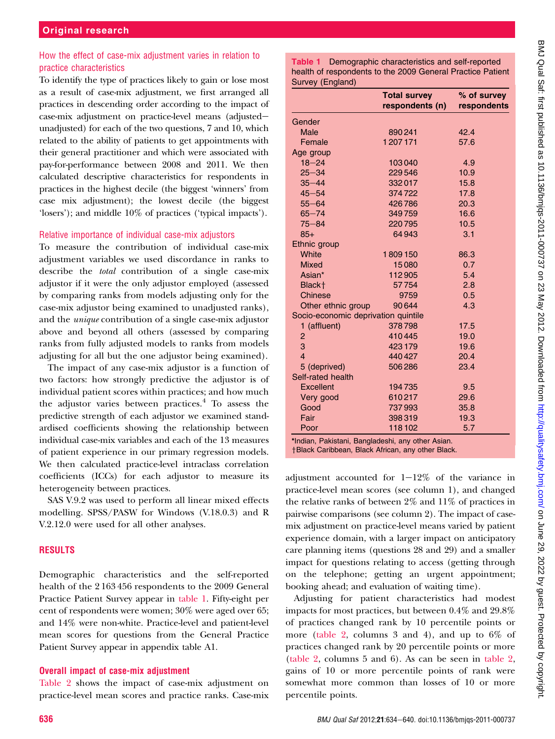### How the effect of case-mix adjustment varies in relation to practice characteristics

To identify the type of practices likely to gain or lose most as a result of case-mix adjustment, we first arranged all practices in descending order according to the impact of case-mix adjustment on practice-level means (adjustedunadjusted) for each of the two questions, 7 and 10, which related to the ability of patients to get appointments with their general practitioner and which were associated with pay-for-performance between 2008 and 2011. We then calculated descriptive characteristics for respondents in practices in the highest decile (the biggest 'winners' from case mix adjustment); the lowest decile (the biggest 'losers'); and middle 10% of practices ('typical impacts').

#### Relative importance of individual case-mix adjustors

To measure the contribution of individual case-mix adjustment variables we used discordance in ranks to describe the total contribution of a single case-mix adjustor if it were the only adjustor employed (assessed by comparing ranks from models adjusting only for the case-mix adjustor being examined to unadjusted ranks), and the unique contribution of a single case-mix adjustor above and beyond all others (assessed by comparing ranks from fully adjusted models to ranks from models adjusting for all but the one adjustor being examined).

The impact of any case-mix adjustor is a function of two factors: how strongly predictive the adjustor is of individual patient scores within practices; and how much the adjustor varies between practices.<sup>4</sup> To assess the predictive strength of each adjustor we examined standardised coefficients showing the relationship between individual case-mix variables and each of the 13 measures of patient experience in our primary regression models. We then calculated practice-level intraclass correlation coefficients (ICCs) for each adjustor to measure its heterogeneity between practices.

SAS V.9.2 was used to perform all linear mixed effects modelling. SPSS/PASW for Windows (V.18.0.3) and R V.2.12.0 were used for all other analyses.

#### RESULTS

Demographic characteristics and the self-reported health of the 2 163 456 respondents to the 2009 General Practice Patient Survey appear in table 1. Fifty-eight per cent of respondents were women; 30% were aged over 65; and 14% were non-white. Practice-level and patient-level mean scores for questions from the General Practice Patient Survey appear in appendix table A1.

#### Overall impact of case-mix adjustment

Table 2 shows the impact of case-mix adjustment on practice-level mean scores and practice ranks. Case-mix Table 1 Demographic characteristics and self-reported health of respondents to the 2009 General Practice Patient Survey (England)

|                                     | <b>Total survey</b><br>respondents (n) | % of survey<br>respondents |
|-------------------------------------|----------------------------------------|----------------------------|
| Gender                              |                                        |                            |
| Male                                | 890241                                 | 42.4                       |
| Female                              | 1207171                                | 57.6                       |
| Age group                           |                                        |                            |
| $18 - 24$                           | 103040                                 | 4.9                        |
| $25 - 34$                           | 229546                                 | 10.9                       |
| $35 - 44$                           | 332017                                 | 15.8                       |
| $45 - 54$                           | 374722                                 | 17.8                       |
| $55 - 64$                           | 426786                                 | 20.3                       |
| $65 - 74$                           | 349759                                 | 16.6                       |
| $75 - 84$                           | 220795                                 | 10.5                       |
| $85+$                               | 64943                                  | 3.1                        |
| Ethnic group                        |                                        |                            |
| White                               | 1809150                                | 86.3                       |
| <b>Mixed</b>                        | 15080                                  | 0.7                        |
| Asian*                              | 112905                                 | 5.4                        |
| Black <sup>+</sup>                  | 57754                                  | 2.8                        |
| <b>Chinese</b>                      | 9759                                   | 0.5                        |
| Other ethnic group                  | 90644                                  | 4.3                        |
| Socio-economic deprivation quintile |                                        |                            |
| 1 (affluent)                        | 378798                                 | 17.5                       |
| 2                                   | 410445                                 | 19.0                       |
| 3                                   | 423179                                 | 19.6                       |
| $\overline{4}$                      | 440427                                 | 20.4                       |
| 5 (deprived)                        | 506286                                 | 23.4                       |
| Self-rated health                   |                                        |                            |
| Excellent                           | 194735                                 | 9.5                        |
| Very good                           | 610217                                 | 29.6                       |
| Good                                | 737993                                 | 35.8                       |
| Fair                                | 398319                                 | 19.3                       |
| Poor                                | 118102                                 | 5.7                        |

\*Indian, Pakistani, Bangladeshi, any other Asian. †Black Caribbean, Black African, any other Black.

adjustment accounted for  $1-12\%$  of the variance in practice-level mean scores (see column 1), and changed the relative ranks of between 2% and 11% of practices in pairwise comparisons (see column 2). The impact of casemix adjustment on practice-level means varied by patient experience domain, with a larger impact on anticipatory care planning items (questions 28 and 29) and a smaller impact for questions relating to access (getting through on the telephone; getting an urgent appointment; booking ahead; and evaluation of waiting time).

Adjusting for patient characteristics had modest impacts for most practices, but between 0.4% and 29.8% of practices changed rank by 10 percentile points or more (table 2, columns 3 and 4), and up to 6% of practices changed rank by 20 percentile points or more (table 2, columns 5 and 6). As can be seen in table 2, gains of 10 or more percentile points of rank were somewhat more common than losses of 10 or more percentile points.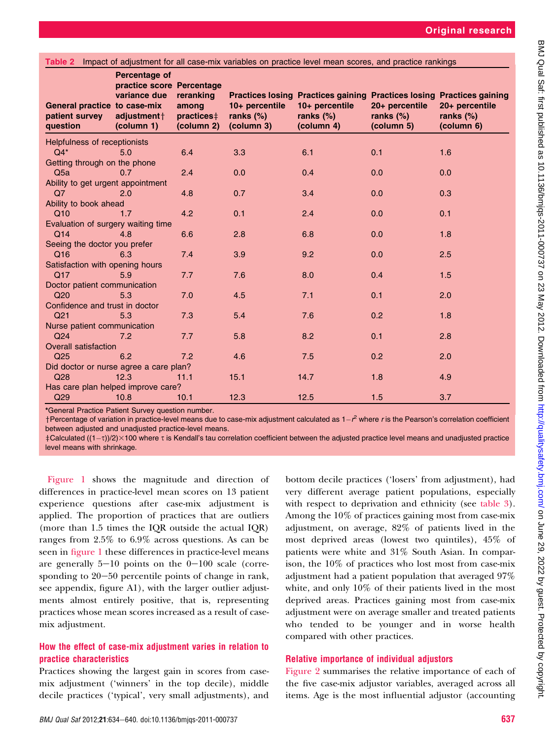Table 2 Impact of adjustment for all case-mix variables on practice level mean scores, and practice rankings

| General practice to case-mix<br>patient survey<br>question | Percentage of<br>practice score Percentage<br>variance due<br>adjustment +<br>(column 1) | reranking<br>among<br>practices <sup>#</sup><br>(column 2) | 10+ percentile<br>ranks $(\%)$<br>(column 3) | <b>Practices losing Practices gaining Practices losing Practices gaining</b><br>10+ percentile<br>ranks $(%)$<br>(column 4) | 20+ percentile<br>ranks $(\%)$<br>(column 5) | 20+ percentile<br>ranks $(\%)$<br>(column 6) |  |
|------------------------------------------------------------|------------------------------------------------------------------------------------------|------------------------------------------------------------|----------------------------------------------|-----------------------------------------------------------------------------------------------------------------------------|----------------------------------------------|----------------------------------------------|--|
| Helpfulness of receptionists                               |                                                                                          |                                                            |                                              |                                                                                                                             |                                              |                                              |  |
| $Q4*$                                                      | 5.0                                                                                      | 6.4                                                        | 3.3                                          | 6.1                                                                                                                         | 0.1                                          | 1.6                                          |  |
| Getting through on the phone                               |                                                                                          |                                                            |                                              |                                                                                                                             |                                              |                                              |  |
| Q5a                                                        | 0.7                                                                                      | 2.4                                                        | 0.0                                          | 0.4                                                                                                                         | 0.0                                          | 0.0                                          |  |
| Ability to get urgent appointment                          |                                                                                          |                                                            |                                              |                                                                                                                             |                                              |                                              |  |
| Q7                                                         | 2.0                                                                                      | 4.8                                                        | 0.7                                          | 3.4                                                                                                                         | 0.0                                          | 0.3                                          |  |
| Ability to book ahead                                      |                                                                                          |                                                            |                                              |                                                                                                                             |                                              |                                              |  |
| Q10                                                        | 1.7                                                                                      | 4.2                                                        | 0.1                                          | 2.4                                                                                                                         | 0.0                                          | 0.1                                          |  |
| Evaluation of surgery waiting time                         |                                                                                          |                                                            |                                              |                                                                                                                             |                                              |                                              |  |
| Q14                                                        | 4.8                                                                                      | 6.6                                                        | 2.8                                          | 6.8                                                                                                                         | 0.0                                          | 1.8                                          |  |
| Seeing the doctor you prefer                               |                                                                                          |                                                            |                                              |                                                                                                                             |                                              |                                              |  |
| Q16                                                        | 6.3                                                                                      | 7.4                                                        | 3.9                                          | 9.2                                                                                                                         | 0.0                                          | 2.5                                          |  |
| Satisfaction with opening hours                            |                                                                                          |                                                            |                                              |                                                                                                                             |                                              |                                              |  |
| Q17                                                        | 5.9                                                                                      | 7.7                                                        | 7.6                                          | 8.0                                                                                                                         | 0.4                                          | 1.5                                          |  |
| Doctor patient communication<br>Q <sub>20</sub>            | 5.3                                                                                      | 7.0                                                        |                                              | 7.1                                                                                                                         |                                              |                                              |  |
| Confidence and trust in doctor                             |                                                                                          |                                                            | 4.5                                          |                                                                                                                             | 0.1                                          | 2.0                                          |  |
| Q <sub>21</sub>                                            | 5.3                                                                                      | 7.3                                                        | 5.4                                          | 7.6                                                                                                                         | 0.2                                          | 1.8                                          |  |
| Nurse patient communication                                |                                                                                          |                                                            |                                              |                                                                                                                             |                                              |                                              |  |
| Q <sub>24</sub>                                            | 7.2                                                                                      | 7.7                                                        | 5.8                                          | 8.2                                                                                                                         | 0.1                                          | 2.8                                          |  |
| <b>Overall satisfaction</b>                                |                                                                                          |                                                            |                                              |                                                                                                                             |                                              |                                              |  |
| Q <sub>25</sub>                                            | 6.2                                                                                      | 7.2                                                        | 4.6                                          | 7.5                                                                                                                         | 0.2                                          | 2.0                                          |  |
| Did doctor or nurse agree a care plan?                     |                                                                                          |                                                            |                                              |                                                                                                                             |                                              |                                              |  |
| Q <sub>28</sub>                                            | 12.3                                                                                     | 11.1                                                       | 15.1                                         | 14.7                                                                                                                        | 1.8                                          | 4.9                                          |  |
| Has care plan helped improve care?                         |                                                                                          |                                                            |                                              |                                                                                                                             |                                              |                                              |  |
| Q29                                                        | 10.8                                                                                     | 10.1                                                       | 12.3                                         | 12.5                                                                                                                        | 1.5                                          | 3.7                                          |  |

\*General Practice Patient Survey question number.

 $\dagger$ Percentage of variation in practice-level means due to case-mix adjustment calculated as  $1 - r^2$  where r is the Pearson's correlation coefficient between adjusted and unadjusted practice-level means.

 $\mp$ Calculated ((1 $-$ τ))/2) $\times$ 100 where τ is Kendall's tau correlation coefficient between the adjusted practice level means and unadjusted practice level means with shrinkage.

Figure 1 shows the magnitude and direction of differences in practice-level mean scores on 13 patient experience questions after case-mix adjustment is applied. The proportion of practices that are outliers (more than 1.5 times the IQR outside the actual IQR) ranges from 2.5% to 6.9% across questions. As can be seen in figure 1 these differences in practice-level means are generally  $5-10$  points on the  $0-100$  scale (corresponding to  $20-50$  percentile points of change in rank, see appendix, figure A1), with the larger outlier adjustments almost entirely positive, that is, representing practices whose mean scores increased as a result of casemix adjustment.

### How the effect of case-mix adjustment varies in relation to practice characteristics

Practices showing the largest gain in scores from casemix adjustment ('winners' in the top decile), middle decile practices ('typical', very small adjustments), and

bottom decile practices ('losers' from adjustment), had very different average patient populations, especially with respect to deprivation and ethnicity (see table 3). Among the 10% of practices gaining most from case-mix adjustment, on average, 82% of patients lived in the most deprived areas (lowest two quintiles), 45% of patients were white and 31% South Asian. In comparison, the 10% of practices who lost most from case-mix adjustment had a patient population that averaged 97% white, and only 10% of their patients lived in the most deprived areas. Practices gaining most from case-mix adjustment were on average smaller and treated patients who tended to be younger and in worse health compared with other practices.

### Relative importance of individual adjustors

Figure 2 summarises the relative importance of each of the five case-mix adjustor variables, averaged across all items. Age is the most influential adjustor (accounting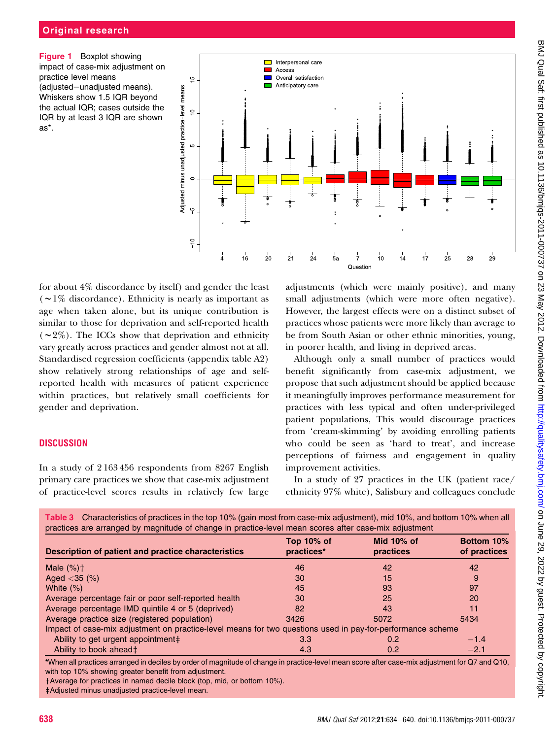Figure 1 Boxplot showing impact of case-mix adjustment on practice level means (adjusted-unadjusted means). Whiskers show 1.5 IQR beyond the actual IQR; cases outside the IQR by at least 3 IQR are shown as\*.



for about 4% discordance by itself) and gender the least ( $\sim$ 1% discordance). Ethnicity is nearly as important as age when taken alone, but its unique contribution is similar to those for deprivation and self-reported health  $(\sim 2\%)$ . The ICCs show that deprivation and ethnicity vary greatly across practices and gender almost not at all. Standardised regression coefficients (appendix table A2) show relatively strong relationships of age and selfreported health with measures of patient experience within practices, but relatively small coefficients for gender and deprivation.

# **DISCUSSION**

In a study of 2 163 456 respondents from 8267 English primary care practices we show that case-mix adjustment of practice-level scores results in relatively few large adjustments (which were mainly positive), and many small adjustments (which were more often negative). However, the largest effects were on a distinct subset of practices whose patients were more likely than average to be from South Asian or other ethnic minorities, young, in poorer health, and living in deprived areas.

Although only a small number of practices would benefit significantly from case-mix adjustment, we propose that such adjustment should be applied because it meaningfully improves performance measurement for practices with less typical and often under-privileged patient populations, This would discourage practices from 'cream-skimming' by avoiding enrolling patients who could be seen as 'hard to treat', and increase perceptions of fairness and engagement in quality improvement activities.

In a study of 27 practices in the UK (patient race/ ethnicity 97% white), Salisbury and colleagues conclude

| Description of patient and practice characteristics                                                        | Top 10% of<br>practices* | Mid 10% of<br><b>practices</b> | <b>Bottom 10%</b><br>of practices |
|------------------------------------------------------------------------------------------------------------|--------------------------|--------------------------------|-----------------------------------|
| Male $(\%)$ $\dagger$                                                                                      | 46                       | 42                             | 42                                |
| Aged $<$ 35 (%)                                                                                            | 30                       | 15                             | 9                                 |
| White $(\%)$                                                                                               | 45                       | 93                             | 97                                |
| Average percentage fair or poor self-reported health                                                       | 30                       | 25                             | 20                                |
| Average percentage IMD quintile 4 or 5 (deprived)                                                          | 82                       | 43                             |                                   |
| Average practice size (registered population)                                                              | 3426                     | 5072                           | 5434                              |
| Impact of case-mix adjustment on practice-level means for two questions used in pay-for-performance scheme |                          |                                |                                   |
| Ability to get urgent appointment‡                                                                         | 3.3                      | 0.2                            | $-1.4$                            |
| Ability to book ahead‡                                                                                     | 4.3                      | 0.2                            | $-2.1$                            |

Table 3 Characteristics of practices in the top 10% (gain most from case-mix adjustment), mid 10%, and bottom 10% when all practices are arranged by magnitude of change in practice-level mean scores after case-mix adjustment

\*When all practices arranged in deciles by order of magnitude of change in practice-level mean score after case-mix adjustment for Q7 and Q10, with top 10% showing greater benefit from adjustment.

† Average for practices in named decile block (top, mid, or bottom 10%).

zAdjusted minus unadjusted practice-level mean.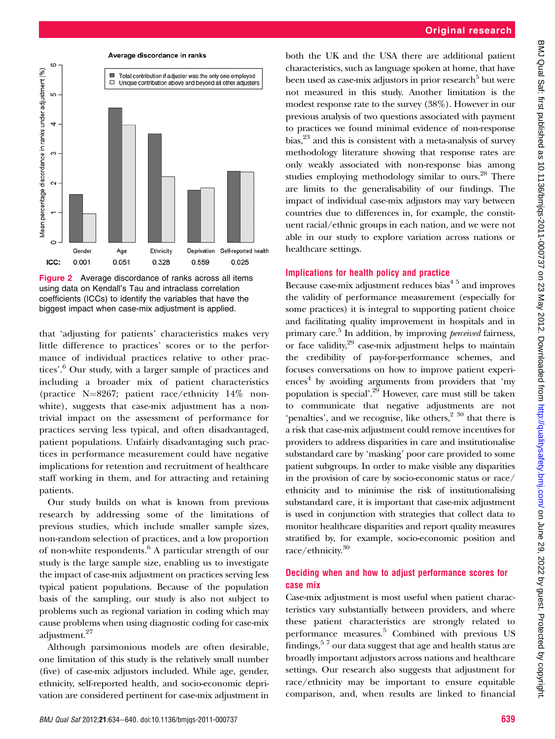**G** Mean percentage discordance in ranks under adjustment (%) Total contribution if adjuster was the only one employed 画  $\Box$ Unique contribution above and beyond all other adjusters ю 4  $\infty$  $\sim$ Ethnicity Deprivation Self-reported health Gende Age ICC: 0.001 0.051 0.328 0.559 0.025

Average discordance in ranks

Figure 2 Average discordance of ranks across all items using data on Kendall's Tau and intraclass correlation coefficients (ICCs) to identify the variables that have the biggest impact when case-mix adjustment is applied.

that 'adjusting for patients' characteristics makes very little difference to practices' scores or to the performance of individual practices relative to other practices'.<sup>6</sup> Our study, with a larger sample of practices and including a broader mix of patient characteristics (practice N=8267; patient race/ethnicity  $14\%$  nonwhite), suggests that case-mix adjustment has a nontrivial impact on the assessment of performance for practices serving less typical, and often disadvantaged, patient populations. Unfairly disadvantaging such practices in performance measurement could have negative implications for retention and recruitment of healthcare staff working in them, and for attracting and retaining patients.

Our study builds on what is known from previous research by addressing some of the limitations of previous studies, which include smaller sample sizes, non-random selection of practices, and a low proportion of non-white respondents.<sup>6</sup> A particular strength of our study is the large sample size, enabling us to investigate the impact of case-mix adjustment on practices serving less typical patient populations. Because of the population basis of the sampling, our study is also not subject to problems such as regional variation in coding which may cause problems when using diagnostic coding for case-mix adjustment.27

Although parsimonious models are often desirable, one limitation of this study is the relatively small number (five) of case-mix adjustors included. While age, gender, ethnicity, self-reported health, and socio-economic deprivation are considered pertinent for case-mix adjustment in

both the UK and the USA there are additional patient characteristics, such as language spoken at home, that have been used as case-mix adjustors in prior research<sup>5</sup> but were not measured in this study. Another limitation is the modest response rate to the survey (38%). However in our previous analysis of two questions associated with payment to practices we found minimal evidence of non-response  $bias<sub>1</sub><sup>23</sup>$  and this is consistent with a meta-analysis of survey methodology literature showing that response rates are only weakly associated with non-response bias among studies employing methodology similar to ours.<sup>28</sup> There are limits to the generalisability of our findings. The impact of individual case-mix adjustors may vary between countries due to differences in, for example, the constituent racial/ethnic groups in each nation, and we were not able in our study to explore variation across nations or healthcare settings.

#### Implications for health policy and practice

Because case-mix adjustment reduces bias<sup> $4.5$ </sup> and improves the validity of performance measurement (especially for some practices) it is integral to supporting patient choice and facilitating quality improvement in hospitals and in primary care.<sup>5</sup> In addition, by improving *perceived* fairness, or face validity,<sup>29</sup> case-mix adjustment helps to maintain the credibility of pay-for-performance schemes, and focuses conversations on how to improve patient experi- $\text{ences}^4$  by avoiding arguments from providers that 'my population is special'.29 However, care must still be taken to communicate that negative adjustments are not 'penalties', and we recognise, like others, $2^{30}$  that there is a risk that case-mix adjustment could remove incentives for providers to address disparities in care and institutionalise substandard care by 'masking' poor care provided to some patient subgroups. In order to make visible any disparities in the provision of care by socio-economic status or race/ ethnicity and to minimise the risk of institutionalising substandard care, it is important that case-mix adjustment is used in conjunction with strategies that collect data to monitor healthcare disparities and report quality measures stratified by, for example, socio-economic position and race/ethnicity.30

# Deciding when and how to adjust performance scores for case mix

Case-mix adjustment is most useful when patient characteristics vary substantially between providers, and where these patient characteristics are strongly related to performance measures.<sup>5</sup> Combined with previous US findings,5 7 our data suggest that age and health status are broadly important adjustors across nations and healthcare settings. Our research also suggests that adjustment for race/ethnicity may be important to ensure equitable comparison, and, when results are linked to financial